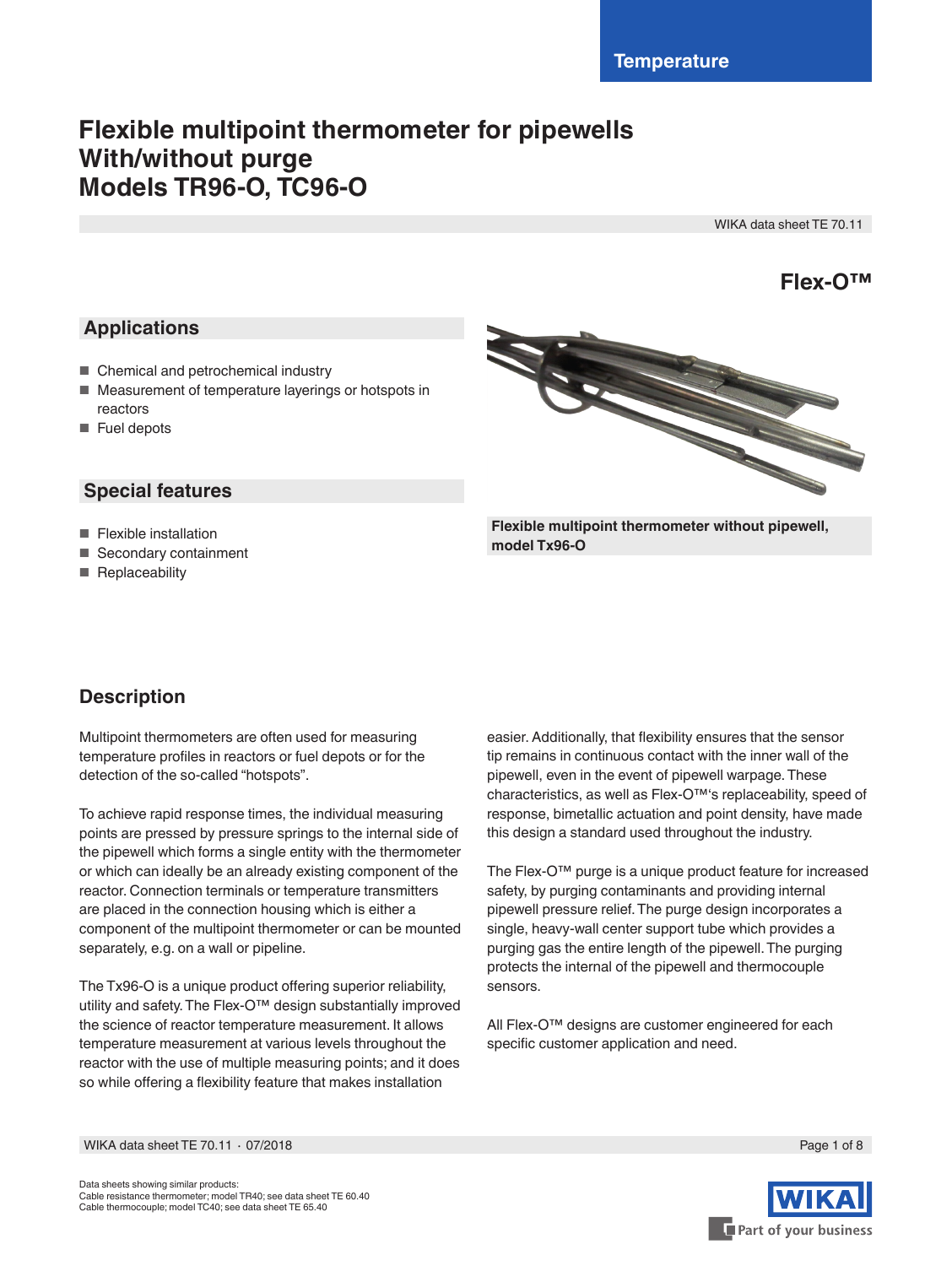# **Flexible multipoint thermometer for pipewells With/without purge Models TR96-O, TC96-O**

WIKA data sheet TE 70.11

**Flex-O™**

## **Applications**

- Chemical and petrochemical industry
- Measurement of temperature layerings or hotspots in reactors
- Fuel depots

## **Special features**

- Flexible installation
- Secondary containment
- Replaceability



**Flexible multipoint thermometer without pipewell, model Tx96-O**

## **Description**

Multipoint thermometers are often used for measuring temperature profiles in reactors or fuel depots or for the detection of the so-called "hotspots".

To achieve rapid response times, the individual measuring points are pressed by pressure springs to the internal side of the pipewell which forms a single entity with the thermometer or which can ideally be an already existing component of the reactor. Connection terminals or temperature transmitters are placed in the connection housing which is either a component of the multipoint thermometer or can be mounted separately, e.g. on a wall or pipeline.

The Tx96-O is a unique product offering superior reliability, utility and safety. The Flex-O™ design substantially improved the science of reactor temperature measurement. It allows temperature measurement at various levels throughout the reactor with the use of multiple measuring points; and it does so while offering a flexibility feature that makes installation

easier. Additionally, that flexibility ensures that the sensor tip remains in continuous contact with the inner wall of the pipewell, even in the event of pipewell warpage. These characteristics, as well as Flex-O™'s replaceability, speed of response, bimetallic actuation and point density, have made this design a standard used throughout the industry.

The Flex-O™ purge is a unique product feature for increased safety, by purging contaminants and providing internal pipewell pressure relief. The purge design incorporates a single, heavy-wall center support tube which provides a purging gas the entire length of the pipewell. The purging protects the internal of the pipewell and thermocouple sensors.

All Flex-O™ designs are customer engineered for each specific customer application and need.

WIKA data sheet TE 70.11 ⋅ 07/2018 Page 1 of 8



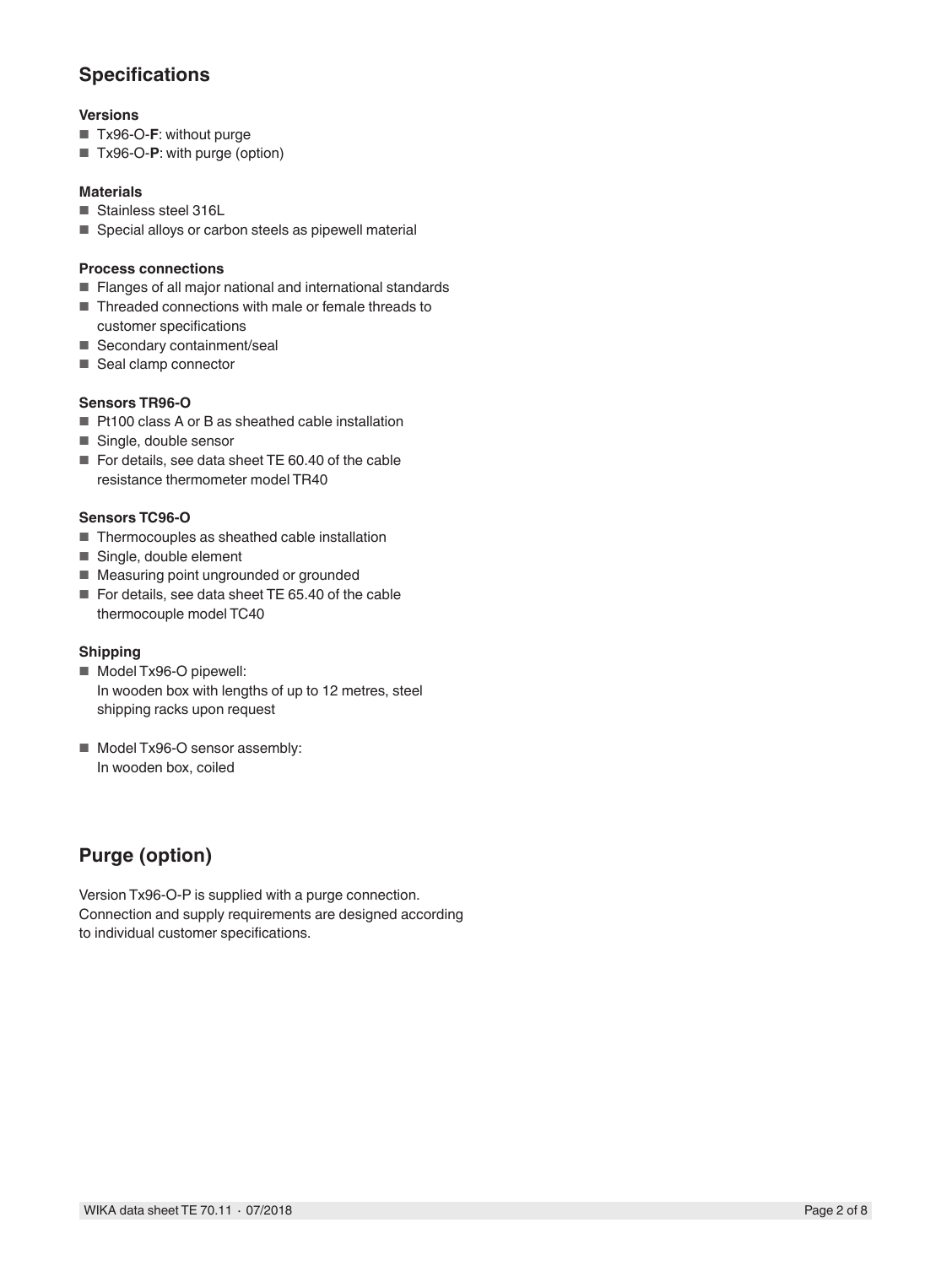## **Specifications**

## **Versions**

- Tx96-O-F: without purge
- Tx96-O-**P**: with purge (option)

## **Materials**

- Stainless steel 316L
- Special alloys or carbon steels as pipewell material

## **Process connections**

- Flanges of all major national and international standards
- Threaded connections with male or female threads to customer specifications
- Secondary containment/seal
- Seal clamp connector

#### **Sensors TR96-O**

- Pt100 class A or B as sheathed cable installation
- Single, double sensor
- For details, see data sheet TE 60.40 of the cable resistance thermometer model TR40

## **Sensors TC96-O**

- Thermocouples as sheathed cable installation
- Single, double element
- Measuring point ungrounded or grounded
- For details, see data sheet TE 65.40 of the cable thermocouple model TC40

## **Shipping**

- Model Tx96-O pipewell: In wooden box with lengths of up to 12 metres, steel shipping racks upon request
- Model Tx96-O sensor assembly: In wooden box, coiled

## **Purge (option)**

Version Tx96-O-P is supplied with a purge connection. Connection and supply requirements are designed according to individual customer specifications.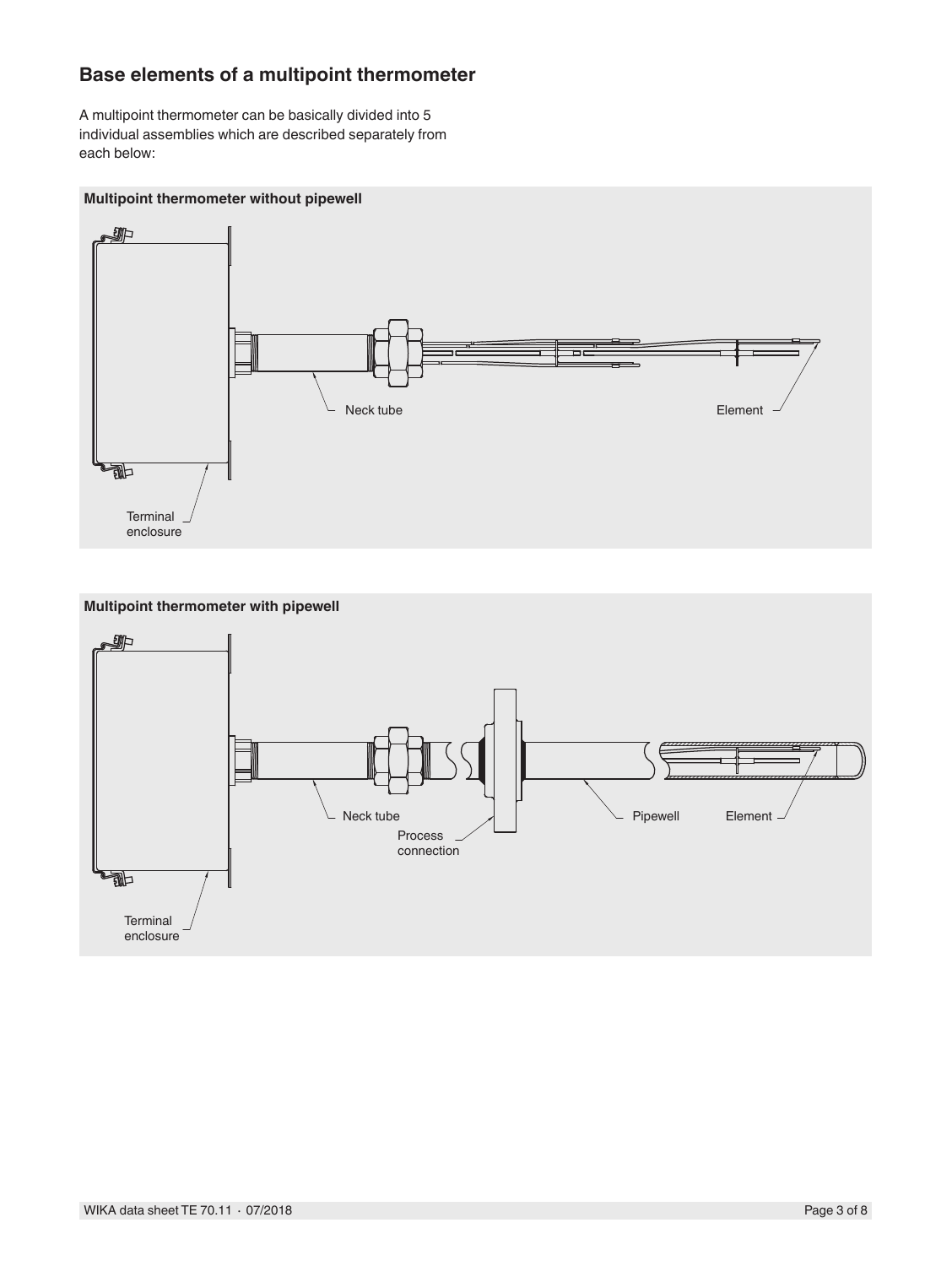## **Base elements of a multipoint thermometer**

A multipoint thermometer can be basically divided into 5 individual assemblies which are described separately from each below:

## **Multipoint thermometer without pipewell**



**Multipoint thermometer with pipewell**

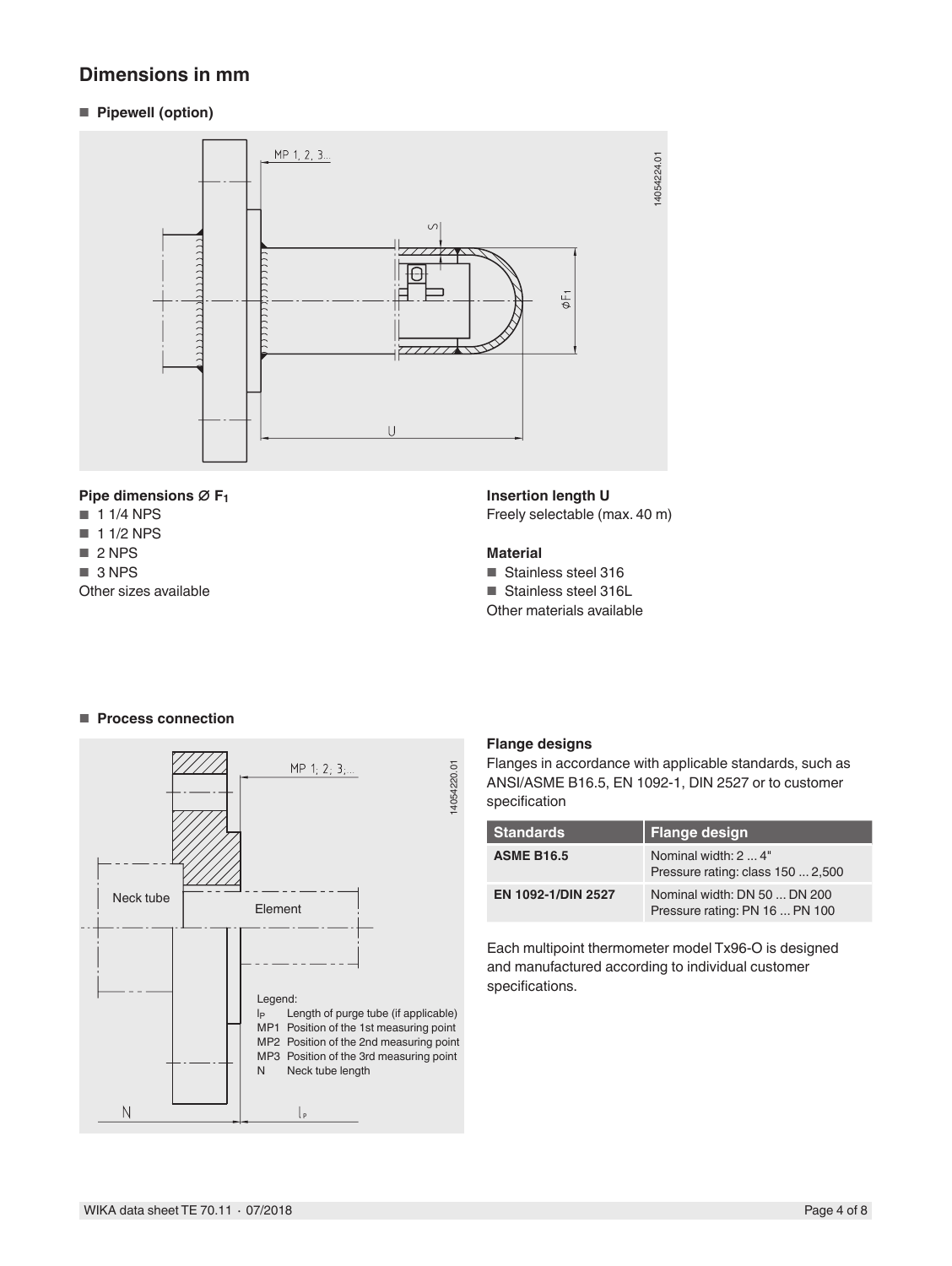## **Dimensions in mm**

■ **Pipewell (option)**



### **Pipe dimensions ∅ F1**

- 1 1/4 NPS
- 1 1/2 NPS
- 2 NPS
- 3 NPS

Other sizes available

**Insertion length U**

Freely selectable (max. 40 m)

#### **Material**

- Stainless steel 316
- Stainless steel 316L

Other materials available

## ■ **Process connection**



## **Flange designs**

Flanges in accordance with applicable standards, such as ANSI/ASME B16.5, EN 1092-1, DIN 2527 or to customer specification

| <b>Standards</b>   | <b>Flange design</b>                                           |
|--------------------|----------------------------------------------------------------|
| <b>ASME B16.5</b>  | Nominal width: 2  4"<br>Pressure rating: class 150  2,500      |
| EN 1092-1/DIN 2527 | Nominal width: DN 50  DN 200<br>Pressure rating: PN 16  PN 100 |

Each multipoint thermometer model Tx96-O is designed and manufactured according to individual customer specifications.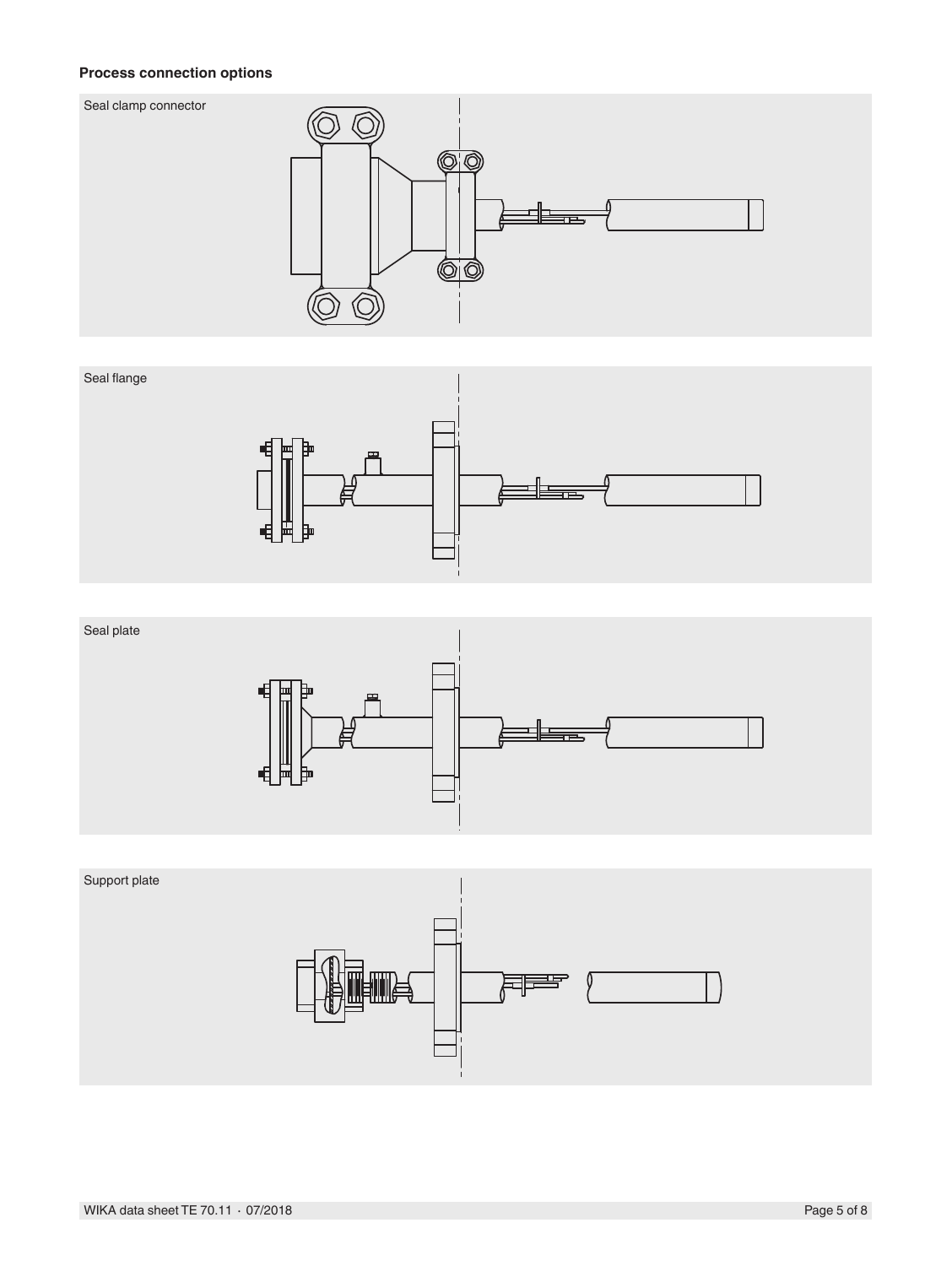#### Seal Clamp Connector **Process connection options**







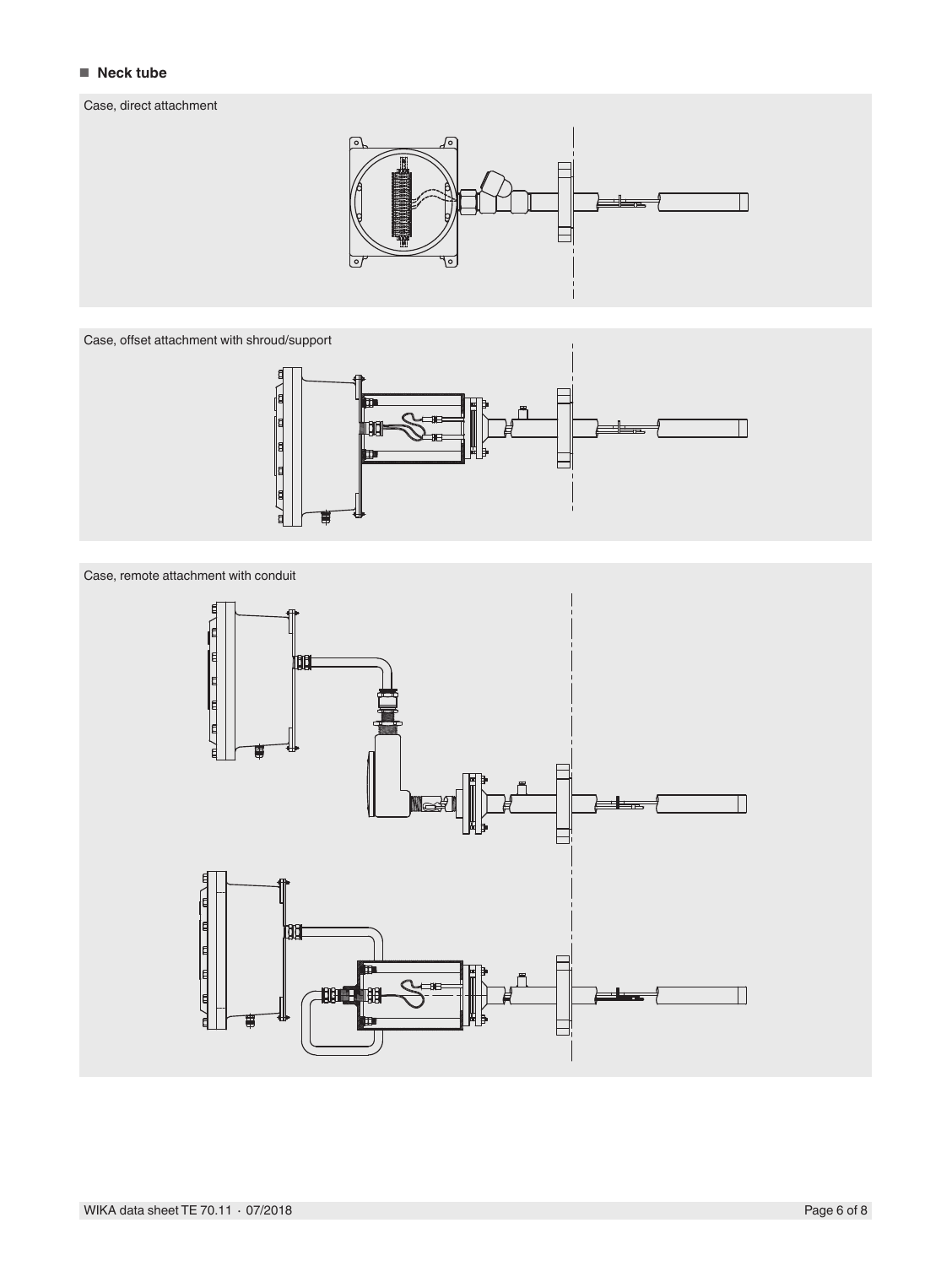## ■ **Neck tube**

### Case, direct attachment



Case, offset attachment with shroud/support



Case, remote attachment with conduit

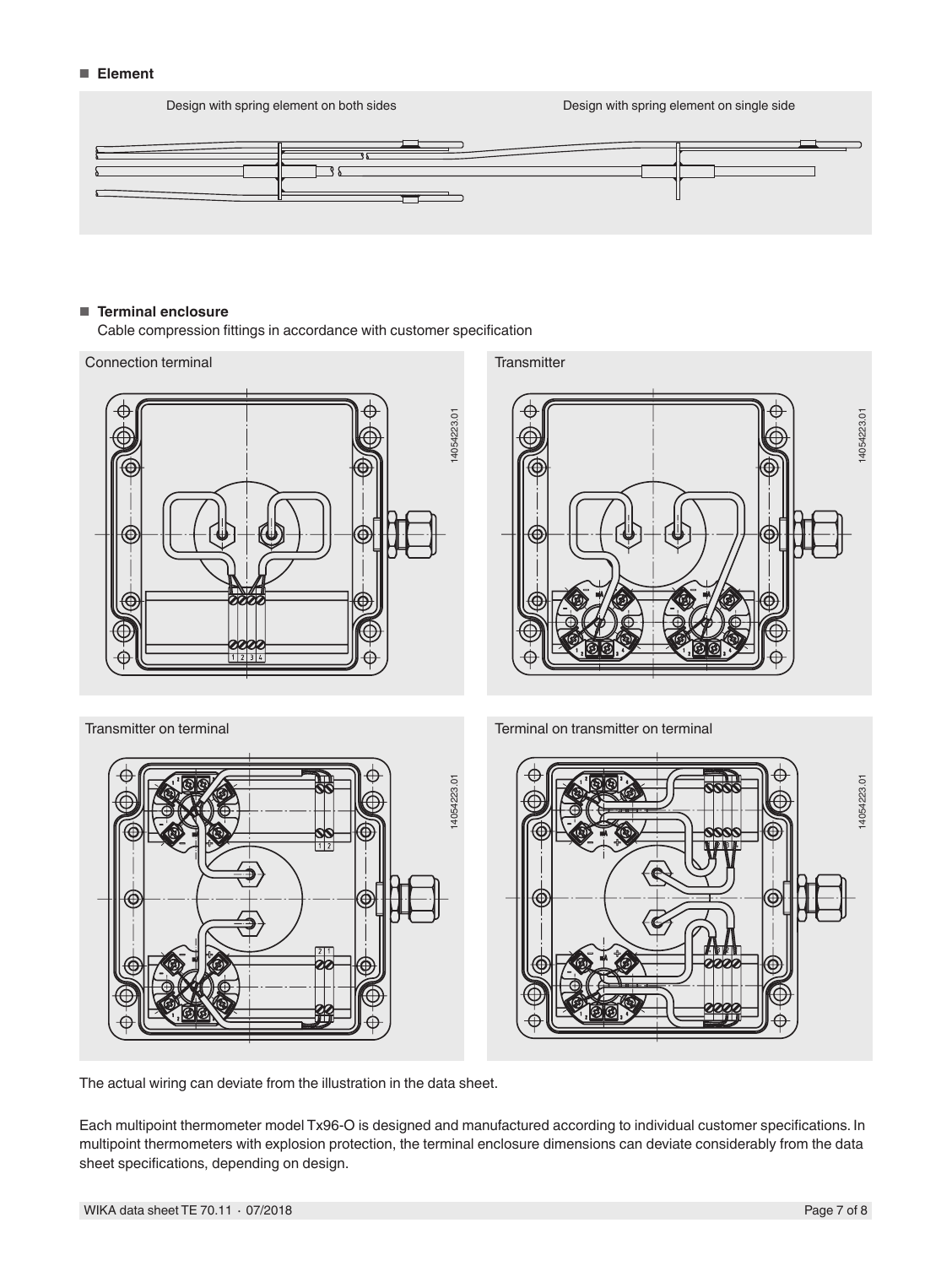#### ■ **Element**

Design with spring element on both sides Design with spring element on single side



#### ■ **Terminal enclosure**

Cable compression fittings in accordance with customer specification



The actual wiring can deviate from the illustration in the data sheet.

Each multipoint thermometer model Tx96-O is designed and manufactured according to individual customer specifications. In multipoint thermometers with explosion protection, the terminal enclosure dimensions can deviate considerably from the data sheet specifications, depending on design.